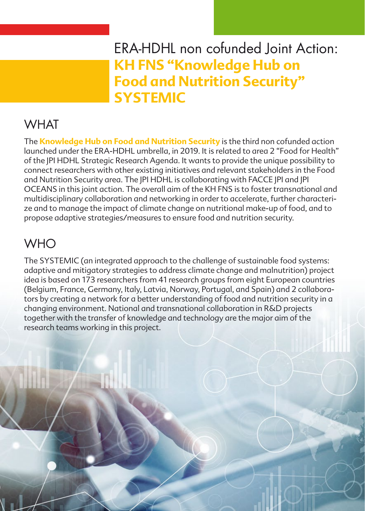## ERA-HDHL non cofunded Joint Action: **KH FNS "Knowledge Hub on Food and Nutrition Security" SYSTEMIC**

## **WHAT**

The **[Knowledge Hub on Food and Nutrition Security](https://www.healthydietforhealthylife.eu/index.php/call-activities/calls/98-calls-site-restyling/527-era-hdhl-2019)** is the third non cofunded action launched under the ERA-HDHL umbrella, in 2019. It is related to area 2 "Food for Health" of the JPI HDHL Strategic Research Agenda. It wants to provide the unique possibility to connect researchers with other existing initiatives and relevant stakeholders in the Food and Nutrition Security area. The JPI HDHL is collaborating with FACCE JPI and JPI OCEANS in this joint action. The overall aim of the KH FNS is to foster transnational and multidisciplinary collaboration and networking in order to accelerate, further characterize and to manage the impact of climate change on nutritional make-up of food, and to propose adaptive strategies/measures to ensure food and nutrition security.

# **WHO**

The SYSTEMIC (an integrated approach to the challenge of sustainable food systems: adaptive and mitigatory strategies to address climate change and malnutrition) project idea is based on 173 researchers from 41 research groups from eight European countries (Belgium, France, Germany, Italy, Latvia, Norway, Portugal, and Spain) and 2 collaborators by creating a network for a better understanding of food and nutrition security in a changing environment. National and transnational collaboration in R&D projects together with the transfer of knowledge and technology are the major aim of the research teams working in this project.